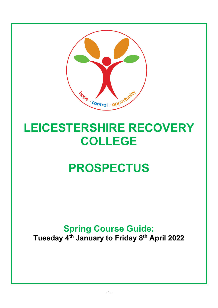

# LEICESTERSHIRE RECOVERY COLLEGE

# PROSPECTUS

## Spring Course Guide: Tuesday 4<sup>th</sup> January to Friday 8<sup>th</sup> April 2022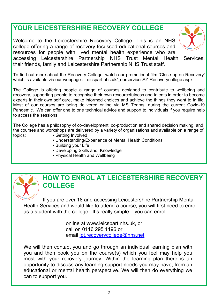### YOUR LEICESTERSHIRE RECOVERY COLLEGE

Welcome to the Leicestershire Recovery College. This is an NHS college offering a range of recovery-focussed educational courses and resources for people with lived mental health experience who are accessing Leicestershire Partnership NHS Trust Mental Health Services, their friends, family and Leicestershire Partnership NHS Trust staff.



To find out more about the Recovery College, watch our promotional film 'Close up on Recovery' which is available via our webpage : Leicspart.nhs.uk/ ourservicesAZ-Recoverycollege.aspx

The College is offering people a range of courses designed to contribute to wellbeing and recovery, supporting people to recognise their own resourcefulness and talents in order to become experts in their own self care, make informed choices and achieve the things they want to in life. Most of our courses are being delivered online via MS Teams, during the current Covid-19 Pandemic. We can offer one to one technical advice and support to individuals if you require help to access the sessions.

The College has a philosophy of co-development, co-production and shared decision making, and the courses and workshops are delivered by a variety of organisations and available on a range of topics: • Getting Involved

- Understanding/Experience of Mental Health Conditions
- Building your Life
- Developing Skills and Knowledge
- Physical Health and Wellbeing



#### HOW TO ENROL AT LEICESTERSHIRE RECOVERY COLLEGE

If you are over 18 and accessing Leicestershire Partnership Mental Health Services and would like to attend a course, you will first need to enrol as a student with the college. It's really simple – you can enrol:

> online at www.leicspart.nhs.uk, or call on 0116 295 1196 or email lpt.recoverycollege@nhs.net

We will then contact you and go through an individual learning plan with you and then book you on the course(s) which you feel may help you most with your recovery journey. Within the learning plan there is an opportunity to discuss any learning support needs you may have, from an educational or mental health perspective. We will then do everything we can to support you.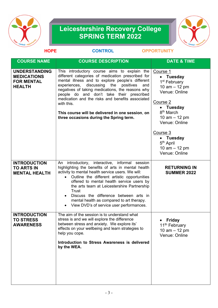

### Leicestershire Recovery College SPRING TERM 2022



| <b>HOPE</b>                                                                      | <b>CONTROL</b>                                                                                                                                                                                                                                                                                                                                                                                                                                                                | <b>OPPORTUNITY</b>                                                                                                                                                                                                                                                |
|----------------------------------------------------------------------------------|-------------------------------------------------------------------------------------------------------------------------------------------------------------------------------------------------------------------------------------------------------------------------------------------------------------------------------------------------------------------------------------------------------------------------------------------------------------------------------|-------------------------------------------------------------------------------------------------------------------------------------------------------------------------------------------------------------------------------------------------------------------|
| <b>COURSE NAME</b>                                                               | <b>COURSE DESCRIPTION</b>                                                                                                                                                                                                                                                                                                                                                                                                                                                     | <b>DATE &amp; TIME</b>                                                                                                                                                                                                                                            |
| <b>UNDERSTANDING</b><br><b>MEDICATIONS</b><br><b>FOR MENTAL</b><br><b>HEALTH</b> | This introductory course aims to explain the<br>different categories of medication prescribed for<br>mental illness and to explore people's different<br>discussing the<br>experiences,<br>positives<br>and<br>negatives of taking medications, the reasons why<br>people do and don't take their prescribed<br>medication and the risks and benefits associated<br>with this.<br>This course will be delivered in one session, on<br>three occasions during the Spring term. | Course 1<br>• Tuesday<br>1 <sup>st</sup> February<br>10 $am - 12 pm$<br>Venue: Online<br>Course 2<br>• Tuesday<br>8 <sup>th</sup> March<br>10 $am - 12 pm$<br>Venue: Online<br>Course 3<br>• Tuesday<br>5 <sup>th</sup> April<br>10 $am - 12 pm$<br>Venue: Online |
| <b>INTRODUCTION</b><br><b>TO ARTS IN</b><br><b>MENTAL HEALTH</b>                 | An introductory, interactive, informal session<br>highlighting the benefits of arts in mental health<br>activity to mental health service users. We will:<br>Outline the different artistic opportunities<br>$\bullet$<br>offered to mental health service users by<br>the arts team at Leicestershire Partnership<br><b>Trust</b><br>Discuss the difference between arts in<br>mental health as compared to art therapy.<br>View DVD's of service user performances.         | <b>RETURNING IN</b><br><b>SUMMER 2022</b>                                                                                                                                                                                                                         |
| <b>INTRODUCTION</b><br><b>TO STRESS</b><br><b>AWARENESS</b>                      | The aim of the session is to understand what<br>stress is and we will explore the difference<br>between stress and anxiety. We explore its'<br>effects on your wellbeing and learn strategies to<br>help you cope.<br>Introduction to Stress Awareness is delivered<br>by the WEA.                                                                                                                                                                                            | <b>Friday</b><br>11 <sup>th</sup> February<br>10 $am - 12 pm$<br>Venue: Online                                                                                                                                                                                    |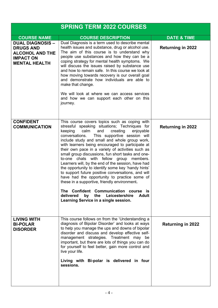|                                                                                        | <b>SPRING TERM 2022 COURSES</b>                                                                                                                                                                                                                                                                                                                                                                                                                                                                                                                                                                                                                                                                                                                                                                                                                                               |                          |
|----------------------------------------------------------------------------------------|-------------------------------------------------------------------------------------------------------------------------------------------------------------------------------------------------------------------------------------------------------------------------------------------------------------------------------------------------------------------------------------------------------------------------------------------------------------------------------------------------------------------------------------------------------------------------------------------------------------------------------------------------------------------------------------------------------------------------------------------------------------------------------------------------------------------------------------------------------------------------------|--------------------------|
| <b>COURSE NAME</b>                                                                     | <b>COURSE DESCRIPTION</b>                                                                                                                                                                                                                                                                                                                                                                                                                                                                                                                                                                                                                                                                                                                                                                                                                                                     | <b>DATE &amp; TIME</b>   |
| <b>DUAL DIAGNOSIS -</b>                                                                | Dual Diagnosis is a term used to describe mental                                                                                                                                                                                                                                                                                                                                                                                                                                                                                                                                                                                                                                                                                                                                                                                                                              |                          |
| <b>DRUGS AND</b><br><b>ALCOHOL AND THE</b><br><b>IMPACT ON</b><br><b>MENTAL HEALTH</b> | health issues and substance, drug or alcohol use.<br>The aim of this course is to understand why<br>people use substances and how they can be a<br>coping strategy for mental health symptoms. We<br>will discuss the issues raised by substance use<br>and how to remain safe. In this course we look at<br>how moving towards recovery is our overall goal<br>and demonstrate how individuals are able to<br>make that change.<br>We will look at where we can access services<br>and how we can support each other on this<br>journey.                                                                                                                                                                                                                                                                                                                                     | <b>Returning in 2022</b> |
| <b>CONFIDENT</b><br><b>COMMUNICATION</b>                                               | This course covers topics such as coping with<br>stressful speaking situations; Techniques for<br>keeping<br>calm<br>and<br>creating<br>enjoyable<br>conversations.<br>This supportive session will<br>include study and small and whole group work,<br>with learners being encouraged to participate at<br>their own pace in a variety of activities such as<br>small group discussions, fun short tasks and one-<br>to-one chats with fellow group members.<br>Learners will, by the end of the session, have had<br>the opportunity to identify some key 'handy hints'<br>to support future positive conversations, and will<br>have had the opportunity to practice some of<br>these in a supportive, friendly environment.<br>The Confident Communication course is<br>Leicestershire<br>delivered<br>by<br>the<br><b>Adult</b><br>Learning Service in a single session. | <b>Returning in 2022</b> |
| <b>LIVING WITH</b><br><b>BI-POLAR</b><br><b>DISORDER</b>                               | This course follows on from the 'Understanding a<br>diagnosis of Bipolar Disorder' and looks at ways<br>to help you manage the ups and downs of bipolar<br>disorder and discuss and develop effective self-<br>management strategies. Treatment may be<br>important, but there are lots of things you can do<br>for yourself to feel better, gain more control and<br>live your life.<br>Living with Bi-polar is delivered in four<br>sessions.                                                                                                                                                                                                                                                                                                                                                                                                                               | <b>Returning in 2022</b> |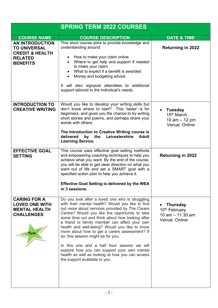| <b>SPRING TERM 2022 COURSES</b>                                                                                  |                                                                                                                                                                                                                                                                                                                                                                                                                                                                                                                                                                                                                                       |                                                                                     |
|------------------------------------------------------------------------------------------------------------------|---------------------------------------------------------------------------------------------------------------------------------------------------------------------------------------------------------------------------------------------------------------------------------------------------------------------------------------------------------------------------------------------------------------------------------------------------------------------------------------------------------------------------------------------------------------------------------------------------------------------------------------|-------------------------------------------------------------------------------------|
| <b>COURSE NAME</b>                                                                                               | <b>COURSE DESCRIPTION</b>                                                                                                                                                                                                                                                                                                                                                                                                                                                                                                                                                                                                             | <b>DATE &amp; TIME</b>                                                              |
| <b>AN INTRODUCTION</b><br><b>TO UNIVERSAL</b><br><b>CREDIT &amp; HEALTH</b><br><b>RELATED</b><br><b>BENEFITS</b> | This short course aims to provide knowledge and<br>understanding around:<br>How to make your claim online<br>Where to get help and support if needed<br>to make your claim<br>What to expect if a benefit is awarded<br>$\bullet$<br>Money and budgeting advice<br>$\bullet$<br>It will also signpost attendees to additional<br>support tailored to the individual's needs.                                                                                                                                                                                                                                                          | <b>Returning in 2022</b>                                                            |
| <b>INTRODUCTION TO</b><br><b>CREATIVE WRITING</b>                                                                | Would you like to develop your writing skills but<br>don't know where to start? This 'taster' is for<br>beginners, and gives you the chance to try writing<br>short stories and poems, and perhaps share your<br>words with others.<br>The Introduction to Creative Writing course is<br>delivered<br>by<br>the<br>Leicestershire<br><b>Adult</b><br><b>Learning Service.</b>                                                                                                                                                                                                                                                         | Tuesday<br>15 <sup>th</sup> March<br>10 $am - 12 pm$<br>Venue: Online               |
| <b>EFFECTIVE GOAL</b><br><b>SETTING</b>                                                                          | This course uses effective goal setting methods<br>and empowering coaching techniques to help you<br>achieve what you want. By the end of the course,<br>you will be able to get clear direction on what you<br>want out of life and set a SMART goal with a<br>specified action plan to help you achieve it.<br><b>Effective Goal Setting is delivered by the WEA</b><br>in 3 sessions.                                                                                                                                                                                                                                              | <b>Returning in 2022</b>                                                            |
| <b>CARING FOR A</b><br><b>LOVED ONE WITH</b><br><b>MENTAL HEALTH</b><br><b>CHALLENGES</b><br><b>New</b>          | Do you look after a loved one who is struggling<br>with their mental health? Would you like to find<br>out more about services provided by The Carers<br>Centre? Would you like the opportunity to take<br>some time out and think about how looking after<br>a friend or family member can affect your own<br>health and well-being? Would you like to know<br>more about how to get a carers assessment? If<br>so, this session might be for you.<br>In this one and a half hour session we will<br>explore how you can support your own mental<br>health as well as looking at how you can access<br>the support available to you. | <b>Thursday</b><br>10 <sup>th</sup> February<br>10 $am - 11.30 am$<br>Venue: Online |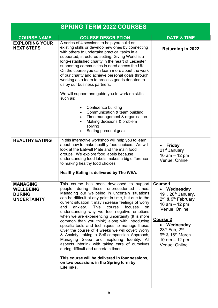|                                                                            | <b>SPRING TERM 2022 COURSES</b>                                                                                                                                                                                                                                                                                                                                                                                                                                                                                                                                                                                                                                                                                                                                                                                                                                                      |                                                                                                                                                                                                                                                                                            |
|----------------------------------------------------------------------------|--------------------------------------------------------------------------------------------------------------------------------------------------------------------------------------------------------------------------------------------------------------------------------------------------------------------------------------------------------------------------------------------------------------------------------------------------------------------------------------------------------------------------------------------------------------------------------------------------------------------------------------------------------------------------------------------------------------------------------------------------------------------------------------------------------------------------------------------------------------------------------------|--------------------------------------------------------------------------------------------------------------------------------------------------------------------------------------------------------------------------------------------------------------------------------------------|
| <b>COURSE NAME</b>                                                         | <b>COURSE DESCRIPTION</b>                                                                                                                                                                                                                                                                                                                                                                                                                                                                                                                                                                                                                                                                                                                                                                                                                                                            | <b>DATE &amp; TIME</b>                                                                                                                                                                                                                                                                     |
| <b>EXPLORING YOUR</b>                                                      | A series of 4 sessions to help you build on                                                                                                                                                                                                                                                                                                                                                                                                                                                                                                                                                                                                                                                                                                                                                                                                                                          |                                                                                                                                                                                                                                                                                            |
| <b>NEXT STEPS</b>                                                          | existing skills or develop new ones by connecting<br>with others to undertake practical tasks in a<br>supported, structured setting. Giving World is a<br>long-established charity in the heart of Leicester<br>supporting communities in need across the UK.<br>On the course you can learn more about the work<br>of our charity and achieve personal goals through<br>working as a team to process goods donated to<br>us by our business partners.<br>We will support and guide you to work on skills                                                                                                                                                                                                                                                                                                                                                                            | <b>Returning in 2022</b>                                                                                                                                                                                                                                                                   |
|                                                                            | such as:<br>Confidence building<br>Communication & team building<br>Time management & organisation<br>Making decisions & problem<br>solving<br>Setting personal goals                                                                                                                                                                                                                                                                                                                                                                                                                                                                                                                                                                                                                                                                                                                |                                                                                                                                                                                                                                                                                            |
| <b>HEALTHY EATING</b>                                                      | In this interactive workshop will help you to learn<br>about how to make healthy food choices. We will<br>look at the Eatwell Plate and the main food<br>groups. We explore food labels because<br>understanding food labels makes a big difference<br>to making healthy food choices<br>Healthy Eating is delivered by The WEA.                                                                                                                                                                                                                                                                                                                                                                                                                                                                                                                                                     | <b>Friday</b><br>21 <sup>st</sup> January<br>10 $am - 12 pm$<br>Venue: Online                                                                                                                                                                                                              |
| <b>MANAGING</b><br><b>WELLBEING</b><br><b>DURING</b><br><b>UNCERTAINTY</b> | This course has been developed to support<br>people during these unprecedented times.<br>Managing our wellbeing in uncertain situations<br>can be difficult at any point in time, but due to the<br>current situation it may increase feelings of worry<br>anxiety.<br><b>This</b><br>focuses<br>course<br>and<br>on.<br>understanding why we feel negative emotions<br>when we are experiencing uncertainty (It is more<br>common than you think) along with introducing<br>specific tools and techniques to manage these.<br>Over the course of 4 weeks we will cover: Worry<br>& Anxiety, taking a Self-compassion Approach,<br>Managing Sleep and Exploring Identity. All<br>aspects interlink with taking care of ourselves<br>during difficult and uncertain times.<br>This course will be delivered in four sessions,<br>on two occasions in the Spring term by<br>Lifelinks. | <b>Course 1</b><br>• Wednesday<br>19th, 26th January,<br>2 <sup>nd</sup> & 9 <sup>th</sup> February<br>10 $am - 12 pm$<br>Venue: Online<br><b>Course 2</b><br>• Wednesday<br>$23^{\text{rd}}$ Feb, $2^{\text{nd}}$ ,<br>$9th$ & 16 <sup>th</sup> March<br>10 $am - 12 pm$<br>Venue: Online |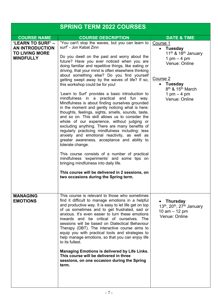|                                                                                                 | <b>SPRING TERM 2022 COURSES</b>                                                                                                                                                                                                                                                                                                                                                                                                                                                                                                                                                                                                                                                                                                                                                                                                                                                                                                                                                                                                                                                                                                                                                                                                                       |                                                                                                                                                                                                                       |
|-------------------------------------------------------------------------------------------------|-------------------------------------------------------------------------------------------------------------------------------------------------------------------------------------------------------------------------------------------------------------------------------------------------------------------------------------------------------------------------------------------------------------------------------------------------------------------------------------------------------------------------------------------------------------------------------------------------------------------------------------------------------------------------------------------------------------------------------------------------------------------------------------------------------------------------------------------------------------------------------------------------------------------------------------------------------------------------------------------------------------------------------------------------------------------------------------------------------------------------------------------------------------------------------------------------------------------------------------------------------|-----------------------------------------------------------------------------------------------------------------------------------------------------------------------------------------------------------------------|
| <b>COURSE NAME</b>                                                                              | <b>COURSE DESCRIPTION</b>                                                                                                                                                                                                                                                                                                                                                                                                                                                                                                                                                                                                                                                                                                                                                                                                                                                                                                                                                                                                                                                                                                                                                                                                                             | <b>DATE &amp; TIME</b>                                                                                                                                                                                                |
|                                                                                                 |                                                                                                                                                                                                                                                                                                                                                                                                                                                                                                                                                                                                                                                                                                                                                                                                                                                                                                                                                                                                                                                                                                                                                                                                                                                       |                                                                                                                                                                                                                       |
| <b>'LEARN TO SURF' –</b><br><b>AN INTRODUCTION</b><br><b>TO LIVING MORE</b><br><b>MINDFULLY</b> | "You can't stop the waves, but you can learn to<br>surf" - Jon Kabat Zinn<br>Do you dwell on the past and worry about the<br>future? Have you ever noticed when you are<br>doing familiar and repetitive things, like eating or<br>driving, that your mind is often elsewhere thinking<br>about something else? Do you find yourself<br>getting swept away by the waves of life? If so,<br>this workshop could be for you!<br>'Learn to Surf' provides a basic introduction to<br>mindfulness in a practical and fun way.<br>Mindfulness is about finding ourselves grounded<br>in the moment and gently noticing what is here:<br>thoughts, feelings, sights, smells, sounds, taste,<br>and so on. This skill allows us to consider the<br>whole of our experience, without judging or<br>excluding anything. There are many benefits of<br>regularly practicing mindfulness including: less<br>anxiety and emotional reactivity, as well as<br>greater awareness, acceptance and ability to<br>tolerate change.<br>This course consists of a number of practical<br>mindfulness 'experiments' and some tips on<br>bringing mindfulness into daily life.<br>This course will be delivered in 2 sessions, on<br>two occasions during the Spring term. | Course 1<br>• Tuesday<br>11 <sup>th</sup> & 18 <sup>th</sup> January<br>1 pm $-$ 4 pm<br>Venue: Online<br>Course 2<br><b>Tuesday</b><br>$\bullet$<br>$8th$ & 15 <sup>th</sup> March<br>1 pm $-$ 4 pm<br>Venue: Online |
| <b>MANAGING</b><br><b>EMOTIONS</b>                                                              | This course is relevant to those who sometimes<br>find it difficult to manage emotions in a helpful<br>and productive way. It is easy to let life get on top<br>of us sometimes and to get frustrated, sad or<br>anxious. It's even easier to turn these emotions<br>inwards and be critical of ourselves. The<br>sessions will be based on Dialectical Behaviour<br>Therapy (DBT). The interactive course aims to<br>equip you with practical tools and strategies to<br>help manage emotions, so that you can enjoy life<br>to its fullest.<br><b>Managing Emotions is delivered by Life Links.</b><br>This course will be delivered in three<br>sessions, on one occasion during the Spring<br>term.                                                                                                                                                                                                                                                                                                                                                                                                                                                                                                                                               | <b>Thursday</b><br>$\bullet$<br>13 <sup>th</sup> , 20 <sup>th</sup> , 27 <sup>th</sup> January<br>10 $am - 12 pm$<br>Venue: Online                                                                                    |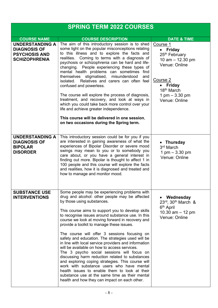| <b>SPRING TERM 2022 COURSES</b>                                                               |                                                                                                                                                                                                                                                                                                                                                                                                                                                                                                                                                                                                                                                                                                                                                                                                                                                                                                              |                                                                                                                                                                                        |
|-----------------------------------------------------------------------------------------------|--------------------------------------------------------------------------------------------------------------------------------------------------------------------------------------------------------------------------------------------------------------------------------------------------------------------------------------------------------------------------------------------------------------------------------------------------------------------------------------------------------------------------------------------------------------------------------------------------------------------------------------------------------------------------------------------------------------------------------------------------------------------------------------------------------------------------------------------------------------------------------------------------------------|----------------------------------------------------------------------------------------------------------------------------------------------------------------------------------------|
| <b>COURSE NAME</b>                                                                            | <b>COURSE DESCRIPTION</b>                                                                                                                                                                                                                                                                                                                                                                                                                                                                                                                                                                                                                                                                                                                                                                                                                                                                                    | <b>DATE &amp; TIME</b>                                                                                                                                                                 |
| <b>UNDERSTANDING A</b><br><b>DIAGNOSIS OF</b><br><b>PSYCHOSIS AND</b><br><b>SCHIZOPHRENIA</b> | The aim of this introductory session is to shed<br>some light on the popular misconceptions relating<br>to this illness and to explore the facts and<br>Coming to terms with a diagnosis of<br>realities.<br>psychosis or schizophrenia can be hard and life-<br>changing. People experiencing these types of<br>mental health problems can sometimes find<br>themselves stigmatised, misunderstood<br>and<br>isolated. Relatives and carers can often feel<br>confused and powerless.<br>The course will explore the process of diagnosis,<br>treatment, and recovery, and look at ways in<br>which you could take back more control over your<br>life and achieve greater independence.<br>This course will be delivered in one session,                                                                                                                                                                   | Course 1<br>$\bullet$ Friday<br>25 <sup>th</sup> February<br>10 $am - 12.30 pm$<br>Venue: Online<br>Course 2<br>• Friday<br>18 <sup>th</sup> March<br>1 pm $-3.30$ pm<br>Venue: Online |
|                                                                                               | on two occasions during the Spring term.                                                                                                                                                                                                                                                                                                                                                                                                                                                                                                                                                                                                                                                                                                                                                                                                                                                                     |                                                                                                                                                                                        |
| <b>UNDERSTANDING A</b><br><b>DIAGNOSIS OF</b><br><b>BIPOLAR</b><br><b>DISORDER</b>            | This introductory session could be for you if you<br>are interested in gaining awareness of what the<br>experiences of Bipolar Disorder or severe mood<br>swings may mean to you or to somebody you<br>care about, or you have a general interest in<br>finding out more. Bipolar is thought to affect 1 in<br>100 people and this course will explore the facts<br>and realities, how it is diagnosed and treated and<br>how to manage and monitor mood.                                                                                                                                                                                                                                                                                                                                                                                                                                                    | • Thursday<br>3 <sup>rd</sup> March<br>1 pm $-3.30$ pm<br>Venue: Online                                                                                                                |
| <b>SUBSTANCE USE</b><br><b>INTERVENTIONS</b>                                                  | Some people may be experiencing problems with<br>drug and alcohol: other people may be affected<br>by those using substances.<br>This course aims to support you to develop skills<br>to recognise issues around substance use. In this<br>course we look at moving forward in recovery and<br>provide a toolkit to manage these issues.<br>The course will offer 3 sessions focusing on<br>safety and education. The strategies used will be<br>in line with local service providers and information<br>will be available on how to access services.<br>The 3 psycho social sessions will focus on<br>discussing harm reduction related to substances<br>and exploring coping strategies. This course will<br>work with substance users who have mental<br>health issues to enable them to look at their<br>substance use at the same time as their mental<br>health and how they can impact on each other. | • Wednesday<br>$23^{\text{rd}}$ , $30^{\text{th}}$ March &<br>6 <sup>th</sup> April<br>10.30 $am - 12 pm$<br>Venue: Online                                                             |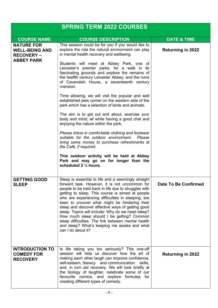| <b>SPRING TERM 2022 COURSES</b>                                 |                                                                                                                                                                                                                                                                                                                                                                                                                                                                                                                                                                                                            |                          |
|-----------------------------------------------------------------|------------------------------------------------------------------------------------------------------------------------------------------------------------------------------------------------------------------------------------------------------------------------------------------------------------------------------------------------------------------------------------------------------------------------------------------------------------------------------------------------------------------------------------------------------------------------------------------------------------|--------------------------|
| <b>COURSE NAME</b>                                              | <b>COURSE DESCRIPTION</b>                                                                                                                                                                                                                                                                                                                                                                                                                                                                                                                                                                                  | <b>DATE &amp; TIME</b>   |
| <b>NATURE FOR</b><br><b>WELL-BEING AND</b><br><b>RECOVERY –</b> | This session could be for you if you would like to<br>explore the role the natural environment can play<br>in mental health recovery and wellbeing.                                                                                                                                                                                                                                                                                                                                                                                                                                                        | <b>Returning in 2022</b> |
| <b>ABBEY PARK</b>                                               | Students will meet at Abbey Park, one of<br>Leicester's premier parks, for a walk in its<br>fascinating grounds and explore the remains of<br>the twelfth century Leicester Abbey, and the ruins<br>of Cavendish House, a seventeenth century<br>mansion.                                                                                                                                                                                                                                                                                                                                                  |                          |
|                                                                 | Time allowing, we will visit the popular and well<br>established pets corner on the western side of the<br>park which has a selection of birds and animals.                                                                                                                                                                                                                                                                                                                                                                                                                                                |                          |
|                                                                 | The aim is to get out and about, exercise your<br>body and mind; all while having a good chat and<br>enjoying the nature within the park.                                                                                                                                                                                                                                                                                                                                                                                                                                                                  |                          |
|                                                                 | Please dress in comfortable clothing and footwear<br>suitable for the outdoor environment. Please<br>bring some money to purchase refreshments at<br>the Café, if required.                                                                                                                                                                                                                                                                                                                                                                                                                                |                          |
|                                                                 | This outdoor activity will be held at Abbey<br>Park and may go on for longer than the<br>scheduled 2 1/2 hours.                                                                                                                                                                                                                                                                                                                                                                                                                                                                                            |                          |
| <b>GETTING GOOD</b><br><b>SLEEP</b>                             | Sleep is essential to life and a seemingly straight<br>forward task. However, it is not uncommon for<br>people to be held back in life due to struggles with<br>getting to sleep. This course is aimed at people<br>who are experiencing difficulties in sleeping, are<br>keen to uncover what might be hindering their<br>sleep and discover effective ways of getting good<br>sleep. Topics will include: Why do we need sleep?<br>How much sleep should I be getting? Common<br>sleep difficulties. The link between mental health<br>and sleep? What's keeping me awake and what<br>can I do about it? | Date To Be Confirmed     |
| <b>INTRODUCTION TO</b><br><b>COMEDY FOR</b><br><b>RECOVERY</b>  | Is life taking you too seriously? This one-off<br>session will help us discover how the art of<br>making each other laugh can improve confidence,<br>self-esteem, literacy and communication skills,<br>and, in turn aid recovery. We will look briefly at<br>the biology of laughter, celebrate some of our<br>favourite comics, and explore formulas for<br>creating different types of comedy.                                                                                                                                                                                                          | <b>Returning in 2022</b> |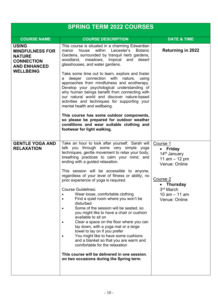| <b>SPRING TERM 2022 COURSES</b>                                                                                         |                                                                                                                                                                                                                                                                                                                                                                                                                                                                                                                                                                                                                                                                                                                                                                                                                                                                                                                                                                                              |                                                                                                                                                                                        |
|-------------------------------------------------------------------------------------------------------------------------|----------------------------------------------------------------------------------------------------------------------------------------------------------------------------------------------------------------------------------------------------------------------------------------------------------------------------------------------------------------------------------------------------------------------------------------------------------------------------------------------------------------------------------------------------------------------------------------------------------------------------------------------------------------------------------------------------------------------------------------------------------------------------------------------------------------------------------------------------------------------------------------------------------------------------------------------------------------------------------------------|----------------------------------------------------------------------------------------------------------------------------------------------------------------------------------------|
| <b>COURSE NAME</b>                                                                                                      | <b>COURSE DESCRIPTION</b>                                                                                                                                                                                                                                                                                                                                                                                                                                                                                                                                                                                                                                                                                                                                                                                                                                                                                                                                                                    | <b>DATE &amp; TIME</b>                                                                                                                                                                 |
| <b>USING</b><br><b>MINDFULNESS FOR</b><br><b>NATURE</b><br><b>CONNECTION</b><br><b>AND ENHANCED</b><br><b>WELLBEING</b> | This course is situated in a charming Edwardian<br>within<br>Leicester's<br>house<br><b>Botanic</b><br>manor<br>Gardens, surrounded by tranquil herb gardens,<br>woodland, meadows, tropical<br>and<br>desert<br>glasshouses, and water gardens.<br>Take some time out to learn, explore and foster<br>deeper connection with nature, using<br>a<br>approaches from mindfulness and ecotherapy.<br>Develop your psychological understanding of<br>why human beings benefit from connecting with<br>our natural world and discover nature-based<br>activities and techniques for supporting your<br>mental health and wellbeing.<br>This course has some outdoor components,<br>so please be prepared for outdoor weather<br>conditions and wear suitable clothing and<br>footwear for light walking.                                                                                                                                                                                         | <b>Returning in 2022</b>                                                                                                                                                               |
| <b>GENTLE YOGA AND</b><br><b>RELAXATION</b>                                                                             | Take an hour to look after yourself. Sarah will<br>talk you through some very simple yoga<br>techniques, gentle movement to relax your body,<br>breathing practices to calm your mind, and<br>ending with a guided relaxation.<br>This session will be accessible to anyone,<br>regardless of your level of fitness or ability, no<br>prior experience of yoga is required.<br><b>Course Guidelines:</b><br>Wear loose, comfortable clothing<br>Find a quiet room where you won't be<br>disturbed<br>Some of the session will be seated, so<br>$\bullet$<br>you might like to have a chair or cushion<br>available to sit on<br>Clear a space on the floor where you can<br>$\bullet$<br>lay down, with a yoga mat or a large<br>towel to lay on if you prefer<br>You might like to have some cushions<br>$\bullet$<br>and a blanket so that you are warm and<br>comfortable for the relaxation<br>This course will be delivered in one session,<br>on two occasions during the Spring term. | Course 1<br><b>Friday</b><br>14 <sup>th</sup> January<br>11 $am - 12 pm$<br>Venue: Online<br>Course 2<br><b>Thursday</b><br>$\bullet$<br>3rd March<br>10 $am - 11$ am<br>Venue: Online |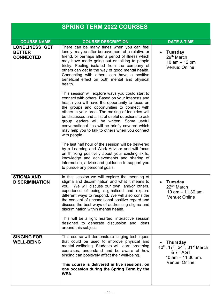|                                                             | <b>SPRING TERM 2022 COURSES</b>                                                                                                                                                                                                                                                                                                                                                                                                                                                                                             |                                                                                                                                                                         |
|-------------------------------------------------------------|-----------------------------------------------------------------------------------------------------------------------------------------------------------------------------------------------------------------------------------------------------------------------------------------------------------------------------------------------------------------------------------------------------------------------------------------------------------------------------------------------------------------------------|-------------------------------------------------------------------------------------------------------------------------------------------------------------------------|
|                                                             |                                                                                                                                                                                                                                                                                                                                                                                                                                                                                                                             |                                                                                                                                                                         |
| <b>COURSE NAME</b>                                          | <b>COURSE DESCRIPTION</b>                                                                                                                                                                                                                                                                                                                                                                                                                                                                                                   | <b>DATE &amp; TIME</b>                                                                                                                                                  |
| <b>LONELINESS: GET</b><br><b>BETTER</b><br><b>CONNECTED</b> | There can be many times when you can feel<br>lonely, maybe after bereavement of a relative or<br>friend, or perhaps after a period of illness which<br>may have made going out or talking to people<br>tricky. Feeling isolated from the company of<br>others can get in the way of good mental health.<br>Connecting with others can have a positive<br>beneficial effect on both mental and physical<br>health.                                                                                                           | <b>Tuesday</b><br>29 <sup>th</sup> March<br>10 $am - 12 pm$<br>Venue: Online                                                                                            |
|                                                             | This session will explore ways you could start to<br>connect with others. Based on your interests and<br>health you will have the opportunity to focus on<br>the groups and opportunities to connect with<br>others in your area. The making of inquiries will<br>be discussed and a list of useful questions to ask<br>group leaders will be written. Some useful<br>conversational tips will be briefly covered which<br>may help you to talk to others when you connect<br>with people.                                  |                                                                                                                                                                         |
|                                                             | The last half hour of the session will be delivered<br>by a Learning and Work Advisor and will focus<br>on thinking positively about your existing skills,<br>knowledge and achievements and sharing of<br>information, advice and guidance to support you<br>to pursue any personal goals.                                                                                                                                                                                                                                 |                                                                                                                                                                         |
| <b>STIGMA AND</b><br><b>DISCRIMINATION</b>                  | In this session we will explore the meaning of<br>stigma and discrimination and what it means to<br>you. We will discuss our own, and/or others,<br>experience of being stigmatised and explore<br>different ways to respond. We will also consider<br>the concept of unconditional positive regard and<br>discuss the best ways of addressing stigma and<br>discrimination within mental health.<br>This will be a light hearted, interactive session<br>designed to generate discussion and ideas<br>around this subject. | Tuesday<br>22 <sup>nd</sup> March<br>10 am $-$ 11.30 am<br>Venue: Online                                                                                                |
| <b>SINGING FOR</b><br><b>WELL-BEING</b>                     | This course will demonstrate singing techniques<br>that could be used to improve physical and<br>mental wellbeing. Students will learn breathing<br>exercises, understand and be aware of how<br>singing can positively affect their well-being.<br>This course is delivered in five sessions, on<br>one occasion during the Spring Term by the<br>WEA.                                                                                                                                                                     | <b>Thursday</b><br>10 <sup>th</sup> , 17 <sup>th</sup> , 24 <sup>th</sup> , 31 <sup>st</sup> March<br>& 7 <sup>th</sup> April<br>$10$ am $- 11.30$ am.<br>Venue: Online |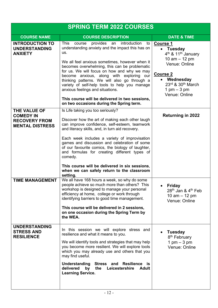| <b>SPRING TERM 2022 COURSES</b>                                                    |                                                                                                                                                                                                                                                                                                                                                                                                                                                       |                                                                                                                                                                                                                                             |
|------------------------------------------------------------------------------------|-------------------------------------------------------------------------------------------------------------------------------------------------------------------------------------------------------------------------------------------------------------------------------------------------------------------------------------------------------------------------------------------------------------------------------------------------------|---------------------------------------------------------------------------------------------------------------------------------------------------------------------------------------------------------------------------------------------|
| <b>COURSE NAME</b>                                                                 | <b>COURSE DESCRIPTION</b>                                                                                                                                                                                                                                                                                                                                                                                                                             | <b>DATE &amp; TIME</b>                                                                                                                                                                                                                      |
| <b>INTRODUCTION TO</b><br><b>UNDERSTANDING</b><br><b>ANXIETY</b>                   | provides an introduction<br><b>This</b><br>course<br>to<br>understanding anxiety and the impact this has on<br>us.<br>We all feel anxious sometimes, however when it<br>becomes overwhelming, this can be problematic<br>for us. We will focus on how and why we may<br>become anxious, along with exploring our<br>thinking patterns. We will also go through a<br>variety of self-help tools to help you manage<br>anxious feelings and situations. | <b>Course 1</b><br><b>Tuesday</b><br>$\bullet$<br>4 <sup>th</sup> & 11 <sup>th</sup> January<br>10 $am - 12 pm$<br>Venue: Online<br><b>Course 2</b><br>Wednesday<br>$23rd$ & $30th$ March<br>$1 \text{ pm} - 3 \text{ pm}$<br>Venue: Online |
|                                                                                    | This course will be delivered in two sessions,<br>on two occasions during the Spring term.                                                                                                                                                                                                                                                                                                                                                            |                                                                                                                                                                                                                                             |
| THE VALUE OF<br><b>COMEDY IN</b><br><b>RECOVERY FROM</b><br><b>MENTAL DISTRESS</b> | Is Life taking you too seriously?<br>Discover how the art of making each other laugh<br>can improve confidence, self-esteem, teamwork<br>and literacy skills, and, in turn aid recovery.                                                                                                                                                                                                                                                              | <b>Returning in 2022</b>                                                                                                                                                                                                                    |
|                                                                                    | Each week includes a variety of improvisation<br>games and discussion and celebration of some<br>of our favourite comics, the biology of laughter,<br>and formulas for creating different types of<br>comedy.<br>This course will be delivered in six sessions,<br>when we can safely return to the classroom                                                                                                                                         |                                                                                                                                                                                                                                             |
| <b>TIME MANAGEMENT</b>                                                             | setting.<br>We all have 168 hours a week, so why do some<br>people achieve so much more than others? This<br>workshop is designed to manage your personal<br>efficiency at home, college or work through<br>identifying barriers to good time management.<br>This course will be delivered in 2 sessions,<br>on one occasion during the Spring Term by<br>the WEA.                                                                                    | <b>Friday</b><br>28 <sup>th</sup> Jan & 4 <sup>th</sup> Feb<br>10 $am - 12 pm$<br>Venue: Online                                                                                                                                             |
| <b>UNDERSTANDING</b><br><b>STRESS AND</b><br><b>RESILIENCE</b>                     | In this session we will explore stress and<br>resilience and what it means to you.<br>We will identify tools and strategies that may help<br>you become more resilient. We will explore tools<br>which you may already use and others that you<br>may find useful.<br>Understanding Stress and Resilience is<br>delivered<br>by<br>the<br>Leicestershire<br>Adult<br><b>Learning Service.</b>                                                         | <b>Tuesday</b><br>8 <sup>th</sup> February<br>1 pm $-$ 3 pm<br>Venue: Online                                                                                                                                                                |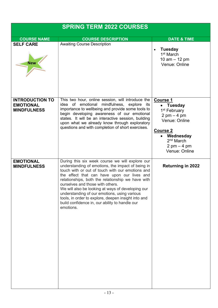| <b>SPRING TERM 2022 COURSES</b>                                  |                                                                                                                                                                                                                                                                                                                                                                                                                                                                                                                             |                                                                                                                                                                                                                  |
|------------------------------------------------------------------|-----------------------------------------------------------------------------------------------------------------------------------------------------------------------------------------------------------------------------------------------------------------------------------------------------------------------------------------------------------------------------------------------------------------------------------------------------------------------------------------------------------------------------|------------------------------------------------------------------------------------------------------------------------------------------------------------------------------------------------------------------|
| <b>COURSE NAME</b>                                               | <b>COURSE DESCRIPTION</b>                                                                                                                                                                                                                                                                                                                                                                                                                                                                                                   | <b>DATE &amp; TIME</b>                                                                                                                                                                                           |
| <b>SELF CARE</b><br><b>New</b>                                   | <b>Awaiting Course Description</b>                                                                                                                                                                                                                                                                                                                                                                                                                                                                                          | <b>Tuesday</b><br>1 <sup>st</sup> March<br>10 $am - 12 pm$<br>Venue: Online                                                                                                                                      |
| <b>INTRODUCTION TO</b><br><b>EMOTIONAL</b><br><b>MINDFULNESS</b> | This two hour, online session, will introduce the<br>idea of emotional mindfulness, explore<br>its<br>importance to wellbeing and provide some tools to<br>begin developing awareness of our emotional<br>states. It will be an interactive session, building<br>upon what we already know through exploratory<br>questions and with completion of short exercises.                                                                                                                                                         | <b>Course 1</b><br><b>Tuesday</b><br>1 <sup>st</sup> February<br>$2 \text{ pm} - 4 \text{ pm}$<br>Venue: Online<br><b>Course 2</b><br>Wednesday<br>$2nd$ March<br>$2 \text{ pm} - 4 \text{ pm}$<br>Venue: Online |
| <b>EMOTIONAL</b><br><b>MINDFULNESS</b>                           | During this six week course we will explore our<br>understanding of emotions, the impact of being in<br>touch with or out of touch with our emotions and<br>the effect that can have upon our lives and<br>relationships, both the relationship we have with<br>ourselves and those with others.<br>We will also be looking at ways of developing our<br>understanding of our emotions, using various<br>tools, in order to explore, deepen insight into and<br>build confidence in, our ability to handle our<br>emotions. | <b>Returning in 2022</b>                                                                                                                                                                                         |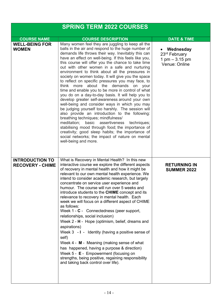| <b>SPRING TERM 2022 COURSES</b>                   |                                                                                                                                                                                                                                                                                                                                                                                                                                                                                                                                                                                                                                                                                                                                                                                                                                                                                                                                                                                                                                                                                                                                      |                                                                                               |
|---------------------------------------------------|--------------------------------------------------------------------------------------------------------------------------------------------------------------------------------------------------------------------------------------------------------------------------------------------------------------------------------------------------------------------------------------------------------------------------------------------------------------------------------------------------------------------------------------------------------------------------------------------------------------------------------------------------------------------------------------------------------------------------------------------------------------------------------------------------------------------------------------------------------------------------------------------------------------------------------------------------------------------------------------------------------------------------------------------------------------------------------------------------------------------------------------|-----------------------------------------------------------------------------------------------|
| <b>COURSE NAME</b>                                | <b>COURSE DESCRIPTION</b>                                                                                                                                                                                                                                                                                                                                                                                                                                                                                                                                                                                                                                                                                                                                                                                                                                                                                                                                                                                                                                                                                                            | <b>DATE &amp; TIME</b>                                                                        |
| <b>WELL-BEING FOR</b><br><b>WOMEN</b>             | Many women feel they are juggling to keep all the<br>balls in the air and respond to the huge number of<br>demands life throws their way. Inevitably this can<br>have an effect on well-being. If this feels like you,<br>this course will offer you the chance to take time<br>out with other women in a safe and nurturing<br>environment to think about all the pressures in<br>society on women today. It will give you the space<br>to reflect on specific pressures you may face, to<br>think more about the demands on your<br>time and enable you to be more in control of what<br>you do on a day-to-day basis. It will help you to<br>develop greater self-awareness around your own<br>well-being and consider ways in which you may<br>be judging yourself too harshly. The session will<br>also provide an introduction to the following:<br>breathing techniques; mindfulness/<br>meditation;<br>basic assertiveness<br>techniques;<br>stabilising mood through food; the importance of<br>creativity; good sleep habits; the importance of<br>social networks; the impact of nature on mental<br>well-being and more. | • Wednesday<br>23 <sup>rd</sup> February<br>$1 \text{ pm} - 3.15 \text{ pm}$<br>Venue: Online |
| <b>INTRODUCTION TO</b><br><b>RECOVERY - CHIME</b> | What is Recovery in Mental Health? In this new<br>interactive course we explore the different aspects<br>of recovery in mental health and how it might be<br>relevant to our own mental health experience. We<br>intend to consider academic research, but largely<br>concentrate on service user experience and<br>humour. The course will run over 5 weeks and<br>introduce students to the CHIME concept and its<br>relevance to recovery in mental health. Each<br>week we will focus on a different aspect of CHIME<br>as follows:<br>Week 1 - C - Connectedness (peer support,<br>relationships, social inclusion)<br>Week 2 - H - Hope (optimism, belief, dreams and<br>aspirations)<br>Week $3 - I -$ Identity (having a positive sense of<br>self)<br>Week 4 - M - Meaning (making sense of what<br>has happened, having a purpose & direction)<br>Week 5 - E - Empowerment (focusing on<br>strengths, being positive, regaining responsibility<br>and taking back control over life).                                                                                                                                      | <b>RETURNING IN</b><br><b>SUMMER 2022</b>                                                     |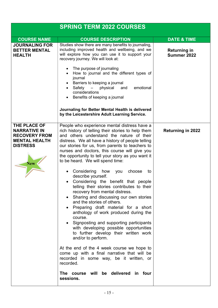| <b>SPRING TERM 2022 COURSES</b>                                                                                      |                                                                                                                                                                                                                                                                                                                                                                                                                                                                                                                                                                                                                                                                                                                                                                                                                                                                                                                                                                                                                                                                                                                  |                                    |
|----------------------------------------------------------------------------------------------------------------------|------------------------------------------------------------------------------------------------------------------------------------------------------------------------------------------------------------------------------------------------------------------------------------------------------------------------------------------------------------------------------------------------------------------------------------------------------------------------------------------------------------------------------------------------------------------------------------------------------------------------------------------------------------------------------------------------------------------------------------------------------------------------------------------------------------------------------------------------------------------------------------------------------------------------------------------------------------------------------------------------------------------------------------------------------------------------------------------------------------------|------------------------------------|
| <b>COURSE NAME</b>                                                                                                   | <b>COURSE DESCRIPTION</b>                                                                                                                                                                                                                                                                                                                                                                                                                                                                                                                                                                                                                                                                                                                                                                                                                                                                                                                                                                                                                                                                                        | <b>DATE &amp; TIME</b>             |
| <b>JOURNALING FOR</b><br><b>BETTER MENTAL</b><br><b>HEALTH</b>                                                       | Studies show there are many benefits to journaling,<br>including improved health and wellbeing, and we<br>will explore how you can use it to support your<br>recovery journey. We will look at:                                                                                                                                                                                                                                                                                                                                                                                                                                                                                                                                                                                                                                                                                                                                                                                                                                                                                                                  | <b>Returning in</b><br>Summer 2022 |
|                                                                                                                      | The purpose of journaling<br>How to journal and the different types of<br>journal<br>Barriers to keeping a journal<br>emotional<br>Safety<br>physical<br>and<br>considerations<br>Benefits of keeping a journal                                                                                                                                                                                                                                                                                                                                                                                                                                                                                                                                                                                                                                                                                                                                                                                                                                                                                                  |                                    |
|                                                                                                                      | Journaling for Better Mental Health is delivered<br>by the Leicestershire Adult Learning Service.                                                                                                                                                                                                                                                                                                                                                                                                                                                                                                                                                                                                                                                                                                                                                                                                                                                                                                                                                                                                                |                                    |
| THE PLACE OF<br><b>NARRATIVE IN</b><br><b>RECOVERY FROM</b><br><b>MENTAL HEALTH</b><br><b>DISTRESS</b><br><b>New</b> | People who experience mental distress have a<br>rich history of telling their stories to help them<br>and others understand the nature of their<br>distress. We all have a history of people telling<br>our stories for us, from parents to teachers to<br>nurses and doctors, this course will give you<br>the opportunity to tell your story as you want it<br>to be heard. We will spend time:<br>Considering<br>how<br>choose<br>to<br>you<br>describe yourself.<br>Considering the benefit that people<br>telling their stories contributes to their<br>recovery from mental distress.<br>Sharing and discussing our own stories<br>and the stories of others.<br>Preparing draft material for a short<br>anthology of work produced during the<br>course.<br>Signposting and supporting participants<br>with developing possible opportunities<br>to further develop their written work<br>and/or to perform.<br>At the end of the 4 week course we hope to<br>come up with a final narrative that will be<br>recorded in some way, be it written, or<br>recorded.<br>The course will be delivered in four | <b>Returning in 2022</b>           |
|                                                                                                                      | sessions.                                                                                                                                                                                                                                                                                                                                                                                                                                                                                                                                                                                                                                                                                                                                                                                                                                                                                                                                                                                                                                                                                                        |                                    |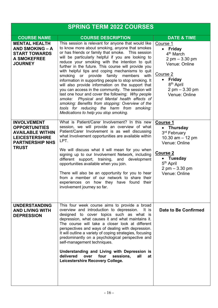| <b>SPRING TERM 2022 COURSES</b>                                                                                                          |                                                                                                                                                                                                                                                                                                                                                                                                                                                                                                                                                                                                                                                                                                                                                                                                                                                  |                                                                                                                                                                                                      |  |  |
|------------------------------------------------------------------------------------------------------------------------------------------|--------------------------------------------------------------------------------------------------------------------------------------------------------------------------------------------------------------------------------------------------------------------------------------------------------------------------------------------------------------------------------------------------------------------------------------------------------------------------------------------------------------------------------------------------------------------------------------------------------------------------------------------------------------------------------------------------------------------------------------------------------------------------------------------------------------------------------------------------|------------------------------------------------------------------------------------------------------------------------------------------------------------------------------------------------------|--|--|
| <b>COURSE NAME</b>                                                                                                                       | <b>COURSE DESCRIPTION</b>                                                                                                                                                                                                                                                                                                                                                                                                                                                                                                                                                                                                                                                                                                                                                                                                                        | <b>DATE &amp; TIME</b>                                                                                                                                                                               |  |  |
| <b>MENTAL HEALTH</b><br><b>AND SMOKING - A</b><br><b>START TOWARDS</b><br><b>A SMOKEFREE</b><br><b>JOURNEY</b>                           | This session is relevant for anyone that would like<br>to know more about smoking, anyone that smokes<br>or has friends or family that smoke. This session<br>will be particularly helpful if you are looking to<br>reduce your smoking with the intention to quit<br>further in the future. This course will provide you<br>with helpful tips and coping mechanisms to quit<br>smoking<br>or provide family<br>members<br>with<br>information in supporting people to stop smoking. It<br>will also provide information on the support that<br>you can access in the community. The session will<br>last one hour and cover the following: Why people<br>smoke: Physical and Mental health effects of<br>smoking: Benefits from stopping: Overview of the<br>tools for reducing the harm from smoking:<br>Medications to help you stop smoking. | Course 1<br><b>Friday</b><br>$\bullet$<br>4 <sup>th</sup> March<br>$2$ pm $-3.30$ pm<br>Venue: Online<br>Course 2<br><b>Friday</b><br>8 <sup>th</sup> April<br>$2$ pm $-3.30$ pm<br>Venue: Online    |  |  |
| <b>INVOLVEMENT</b><br><b>OPPORTUNITIES</b><br><b>AVAILABLE WITHIN</b><br><b>LEICESTERSHIRE</b><br><b>PARTNERSHIP NHS</b><br><b>TRUST</b> | What is Patient/Carer Involvement? In this new<br>session, we will provide an overview of what<br>Patient/Carer Involvement is as well discussing<br>what Involvement opportunities are available within<br>LPT.<br>We will discuss what it will mean for you when<br>signing up to our Involvement Network, including<br>different support, training, and development<br>opportunities available when you join.<br>There will also be an opportunity for you to hear<br>from a member of our network to share their<br>experiences on how they have found their<br>involvement journey so far.                                                                                                                                                                                                                                                  | <b>Course 1</b><br><b>Thursday</b><br>3 <sup>rd</sup> February<br>10.30 $am - 12 pm$<br>Venue: Online<br><b>Course 2</b><br>• Tuesday<br>5 <sup>th</sup> April<br>$2$ pm $-3.30$ pm<br>Venue: Online |  |  |
| <b>UNDERSTANDING</b><br><b>AND LIVING WITH</b><br><b>DEPRESSION</b>                                                                      | This four week course aims to provide a broad<br>overview and introduction to depression.<br>It is<br>designed to cover topics such as what is<br>depression, what causes it and what maintains it.<br>The course will take a closer look at different<br>perspectives and ways of dealing with depression.<br>It will outline a variety of coping strategies, focusing<br>predominantly on a psychological perspective and<br>self-management techniques.<br>Understanding and Living with Depression is<br>delivered<br>over<br>four<br>sessions,<br>all<br>at<br>Leicestershire Recovery College.                                                                                                                                                                                                                                             | <b>Date to Be Confirmed</b>                                                                                                                                                                          |  |  |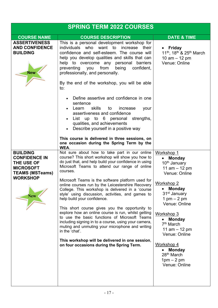| <b>SPRING TERM 2022 COURSES</b>                                                                                                      |                                                                                                                                                                                                                                                                                                                                                                                                                                                                                                                                                                                                                                                                                                                                                                                                                                                                  |                                                                                                                                                                                                                                                                                                                                                                                      |  |  |
|--------------------------------------------------------------------------------------------------------------------------------------|------------------------------------------------------------------------------------------------------------------------------------------------------------------------------------------------------------------------------------------------------------------------------------------------------------------------------------------------------------------------------------------------------------------------------------------------------------------------------------------------------------------------------------------------------------------------------------------------------------------------------------------------------------------------------------------------------------------------------------------------------------------------------------------------------------------------------------------------------------------|--------------------------------------------------------------------------------------------------------------------------------------------------------------------------------------------------------------------------------------------------------------------------------------------------------------------------------------------------------------------------------------|--|--|
| <b>COURSE NAME</b>                                                                                                                   | <b>COURSE DESCRIPTION</b>                                                                                                                                                                                                                                                                                                                                                                                                                                                                                                                                                                                                                                                                                                                                                                                                                                        | <b>DATE &amp; TIME</b>                                                                                                                                                                                                                                                                                                                                                               |  |  |
| <b>ASSERTIVENESS</b><br><b>AND CONFIDENCE</b><br><b>BUILDING</b><br><b>New</b>                                                       | This is a personal development workshop for<br>individuals who want to<br>increase their<br>confidence and self-esteem. The course will<br>help you develop qualities and skills that can<br>help to overcome any personal<br>barriers<br>from<br>preventing you<br>being<br>confident,<br>professionally, and personally.<br>By the end of the workshop, you will be able<br>to:<br>• Define assertive and confidence in one<br>sentence<br>skills<br>Learn<br>to<br>increase<br>your                                                                                                                                                                                                                                                                                                                                                                           | • Friday<br>11 <sup>th</sup> , 18 <sup>th</sup> & 25 <sup>th</sup> March<br>10 $am - 12 pm$<br>Venue: Online                                                                                                                                                                                                                                                                         |  |  |
|                                                                                                                                      | assertiveness and confidence<br>List up to 6 personal strengths,<br>qualities, and achievements<br>Describe yourself in a positive way<br>This course is delivered in three sessions, on<br>one occasion during the Spring Term by the<br>WEA.                                                                                                                                                                                                                                                                                                                                                                                                                                                                                                                                                                                                                   |                                                                                                                                                                                                                                                                                                                                                                                      |  |  |
| <b>BUILDING</b><br><b>CONFIDENCE IN</b><br>THE USE OF<br><b>MICROSOFT</b><br><b>TEAMS (MSTeams)</b><br><b>WORKSHOP</b><br><b>New</b> | Not sure about how to take part in our online<br>course? This short workshop will show you how to<br>do just that, and help build your confidence in using<br>Microsoft Teams to attend our range of online<br>courses.<br>Microsoft Teams is the software platform used for<br>online courses run by the Leicestershire Recovery<br>College. This workshop is delivered in a 'course<br>style' using discussion, activities, and games to<br>help build your confidence.<br>This short course gives you the opportunity to<br>explore how an online course is run, whilst getting<br>to use the basic functions of Microsoft Teams<br>including signing in to a course, using your camera,<br>muting and unmuting your microphone and writing<br>in the 'chat'.<br>This workshop will be delivered in one session,<br>on four occasions during the Spring Term. | Workshop 1<br><b>Monday</b><br>10 <sup>th</sup> January<br>11 $am - 12 pm$<br>Venue: Online<br>Workshop 2<br><b>Monday</b><br>31 <sup>st</sup> January<br>1 pm $-$ 2 pm<br>Venue: Online<br><b>Workshop 3</b><br><b>Monday</b><br>7 <sup>th</sup> March<br>11 $am - 12 pm$<br>Venue: Online<br>Workshop 4<br><b>Monday</b><br>28 <sup>th</sup> March<br>$1pm - 2pm$<br>Venue: Online |  |  |